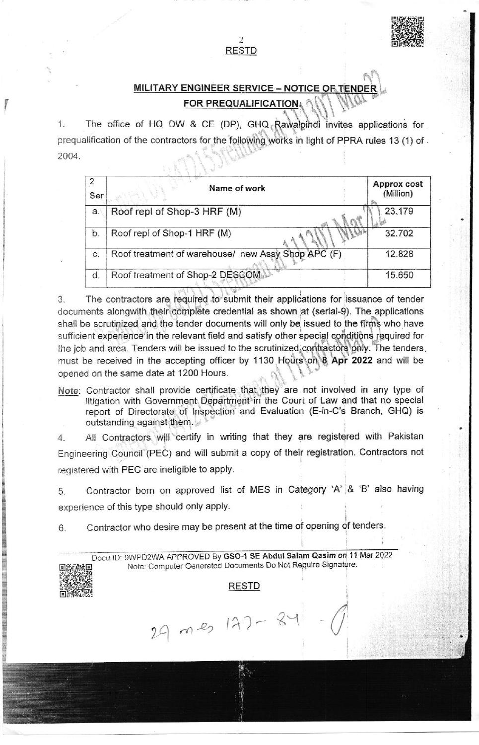## MILITARY ENGINEER SERVICE - NOTICE OF TENDER FOR PREQUALIFICATION.

The office of HQ DW & CE (DP), GHQ Rawalpindi invites applications for 1. prequalification of the contractors for the following works in light of PPRA rules 13 (1) of . 2004

**RESTD** 

| Ser | Name of work                                       | <b>Approx cost</b><br>(Million) |  |
|-----|----------------------------------------------------|---------------------------------|--|
| a.  | Roof repl of Shop-3 HRF (M)                        | 23.179                          |  |
| b.  | Roof repl of Shop-1 HRF (M)                        | 32.702                          |  |
| C.  | Roof treatment of warehouse/ new Assy Shop APC (F) | 12.828                          |  |
| d.  | Roof treatment of Shop-2 DESCOM                    | 15.650                          |  |

The contractors are required to submit their applications for issuance of tender 3. documents alongwith their complete credential as shown at (serial-9). The applications shall be scrutinized and the tender documents will only be issued to the firms who have sufficient experience in the relevant field and satisfy other special conditions required for the job and area. Tenders will be issued to the scrutinized contractors only. The tenders must be received in the accepting officer by 1130 Hours on 8 Apr 2022 and will be opened on the same date at 1200 Hours.

Note: Contractor shall provide certificate that they are not involved in any type of litigation with Government Department in the Court of Law and that no special report of Directorate of Inspection and Evaluation (E-in-C's Branch, GHQ) is outstanding against them.

All Contractors will certify in writing that they are registered with Pakistan 4. Engineering Council (PEC) and will submit a copy of their registration. Contractors not registered with PEC are ineligible to apply.

Contractor born on approved list of MES in Category 'A' & 'B' also having 5. experience of this type should only apply.

Contractor who desire may be present at the time of opening of tenders. 6.

 $29$  mes  $142 - 8$ 

Docu ID: 9WPD2WA APPROVED By GSO-1 SE Abdul Salam Qasim on 11 Mar 2022 Note: Computer Generated Documents Do Not Require Signature.

#### **RESTD**